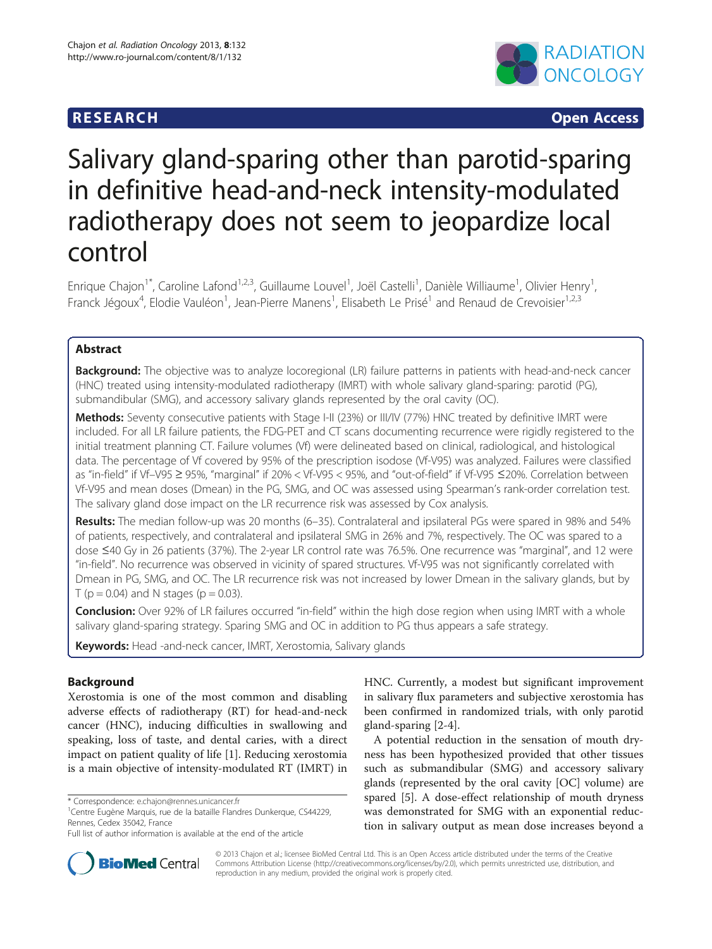## **RESEARCH CHINESE ARCH CHINESE ARCH CHINESE ARCH**



# Salivary gland-sparing other than parotid-sparing in definitive head-and-neck intensity-modulated radiotherapy does not seem to jeopardize local control

Enrique Chajon<sup>1\*</sup>, Caroline Lafond<sup>1,2,3</sup>, Guillaume Louvel<sup>1</sup>, Joël Castelli<sup>1</sup>, Danièle Williaume<sup>1</sup>, Olivier Henry<sup>1</sup> , Franck Jégoux<sup>4</sup>, Elodie Vauléon<sup>1</sup>, Jean-Pierre Manens<sup>1</sup>, Elisabeth Le Prisé<sup>1</sup> and Renaud de Crevoisier<sup>1,2,3</sup>

## Abstract

Background: The objective was to analyze locoregional (LR) failure patterns in patients with head-and-neck cancer (HNC) treated using intensity-modulated radiotherapy (IMRT) with whole salivary gland-sparing: parotid (PG), submandibular (SMG), and accessory salivary glands represented by the oral cavity (OC).

Methods: Seventy consecutive patients with Stage I-II (23%) or III/IV (77%) HNC treated by definitive IMRT were included. For all LR failure patients, the FDG-PET and CT scans documenting recurrence were rigidly registered to the initial treatment planning CT. Failure volumes (Vf) were delineated based on clinical, radiological, and histological data. The percentage of Vf covered by 95% of the prescription isodose (Vf-V95) was analyzed. Failures were classified as "in-field" if Vf–V95 ≥ 95%, "marginal" if 20% < Vf-V95 < 95%, and "out-of-field" if Vf-V95 ≤20%. Correlation between Vf-V95 and mean doses (Dmean) in the PG, SMG, and OC was assessed using Spearman's rank-order correlation test. The salivary gland dose impact on the LR recurrence risk was assessed by Cox analysis.

Results: The median follow-up was 20 months (6–35). Contralateral and ipsilateral PGs were spared in 98% and 54% of patients, respectively, and contralateral and ipsilateral SMG in 26% and 7%, respectively. The OC was spared to a dose ≤40 Gy in 26 patients (37%). The 2-year LR control rate was 76.5%. One recurrence was "marginal", and 12 were "in-field". No recurrence was observed in vicinity of spared structures. Vf-V95 was not significantly correlated with Dmean in PG, SMG, and OC. The LR recurrence risk was not increased by lower Dmean in the salivary glands, but by T ( $p = 0.04$ ) and N stages ( $p = 0.03$ ).

Conclusion: Over 92% of LR failures occurred "in-field" within the high dose region when using IMRT with a whole salivary gland-sparing strategy. Sparing SMG and OC in addition to PG thus appears a safe strategy.

Keywords: Head -and-neck cancer, IMRT, Xerostomia, Salivary glands

## Background

Xerostomia is one of the most common and disabling adverse effects of radiotherapy (RT) for head-and-neck cancer (HNC), inducing difficulties in swallowing and speaking, loss of taste, and dental caries, with a direct impact on patient quality of life [\[1](#page-7-0)]. Reducing xerostomia is a main objective of intensity-modulated RT (IMRT) in

HNC. Currently, a modest but significant improvement in salivary flux parameters and subjective xerostomia has been confirmed in randomized trials, with only parotid gland-sparing [\[2](#page-7-0)-[4\]](#page-7-0).

A potential reduction in the sensation of mouth dryness has been hypothesized provided that other tissues such as submandibular (SMG) and accessory salivary glands (represented by the oral cavity [OC] volume) are spared [[5\]](#page-7-0). A dose-effect relationship of mouth dryness was demonstrated for SMG with an exponential reduction in salivary output as mean dose increases beyond a



© 2013 Chajon et al.; licensee BioMed Central Ltd. This is an Open Access article distributed under the terms of the Creative Commons Attribution License [\(http://creativecommons.org/licenses/by/2.0\)](http://creativecommons.org/licenses/by/2.0), which permits unrestricted use, distribution, and reproduction in any medium, provided the original work is properly cited.

<sup>\*</sup> Correspondence: [e.chajon@rennes.unicancer.fr](mailto:e.chajon@rennes.unicancer.fr) <sup>1</sup>

<sup>&</sup>lt;sup>1</sup> Centre Eugène Marquis, rue de la bataille Flandres Dunkerque, CS44229, Rennes, Cedex 35042, France

Full list of author information is available at the end of the article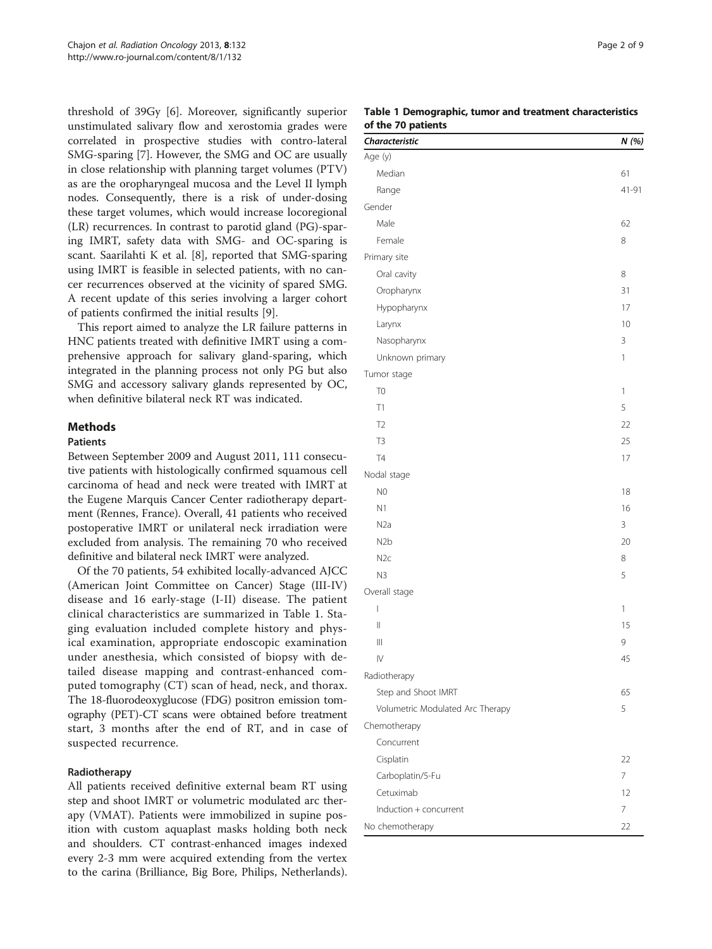threshold of 39Gy [\[6](#page-7-0)]. Moreover, significantly superior unstimulated salivary flow and xerostomia grades were correlated in prospective studies with contro-lateral SMG-sparing [\[7](#page-7-0)]. However, the SMG and OC are usually in close relationship with planning target volumes (PTV) as are the oropharyngeal mucosa and the Level II lymph nodes. Consequently, there is a risk of under-dosing these target volumes, which would increase locoregional (LR) recurrences. In contrast to parotid gland (PG)-sparing IMRT, safety data with SMG- and OC-sparing is scant. Saarilahti K et al. [\[8](#page-7-0)], reported that SMG-sparing using IMRT is feasible in selected patients, with no cancer recurrences observed at the vicinity of spared SMG. A recent update of this series involving a larger cohort of patients confirmed the initial results [\[9](#page-7-0)].

This report aimed to analyze the LR failure patterns in HNC patients treated with definitive IMRT using a comprehensive approach for salivary gland-sparing, which integrated in the planning process not only PG but also SMG and accessory salivary glands represented by OC, when definitive bilateral neck RT was indicated.

#### **Methods**

#### **Patients**

Between September 2009 and August 2011, 111 consecutive patients with histologically confirmed squamous cell carcinoma of head and neck were treated with IMRT at the Eugene Marquis Cancer Center radiotherapy department (Rennes, France). Overall, 41 patients who received postoperative IMRT or unilateral neck irradiation were excluded from analysis. The remaining 70 who received definitive and bilateral neck IMRT were analyzed.

Of the 70 patients, 54 exhibited locally-advanced AJCC (American Joint Committee on Cancer) Stage (III-IV) disease and 16 early-stage (I-II) disease. The patient clinical characteristics are summarized in Table 1. Staging evaluation included complete history and physical examination, appropriate endoscopic examination under anesthesia, which consisted of biopsy with detailed disease mapping and contrast-enhanced computed tomography (CT) scan of head, neck, and thorax. The 18-fluorodeoxyglucose (FDG) positron emission tomography (PET)-CT scans were obtained before treatment start, 3 months after the end of RT, and in case of suspected recurrence.

#### Radiotherapy

All patients received definitive external beam RT using step and shoot IMRT or volumetric modulated arc therapy (VMAT). Patients were immobilized in supine position with custom aquaplast masks holding both neck and shoulders. CT contrast-enhanced images indexed every 2-3 mm were acquired extending from the vertex to the carina (Brilliance, Big Bore, Philips, Netherlands).

#### Table 1 Demographic, tumor and treatment characteristics of the 70 patients

| Characteristic                        | N (%)        |
|---------------------------------------|--------------|
| Age (y)                               |              |
| Median                                | 61           |
| Range                                 | 41-91        |
| Gender                                |              |
| Male                                  | 62           |
| Female                                | 8            |
| Primary site                          |              |
| Oral cavity                           | 8            |
| Oropharynx                            | 31           |
| Hypopharynx                           | 17           |
| Larynx                                | 10           |
| Nasopharynx                           | 3            |
| Unknown primary                       | $\mathbf{1}$ |
| Tumor stage                           |              |
| T <sub>0</sub>                        | $\mathbf{1}$ |
| T1                                    | 5            |
| T <sub>2</sub>                        | 22           |
| T <sub>3</sub>                        | 25           |
| T <sub>4</sub>                        | 17           |
| Nodal stage                           |              |
| N <sub>0</sub>                        | 18           |
| N1                                    | 16           |
| N <sub>2</sub> a                      | 3            |
| N <sub>2</sub> b                      | 20           |
| N <sub>2c</sub>                       | 8            |
| N <sub>3</sub>                        | 5            |
| Overall stage                         |              |
| $\begin{array}{c} \hline \end{array}$ | $\mathbf{1}$ |
| $\begin{array}{c} \hline \end{array}$ | 15           |
| $\begin{array}{c} \hline \end{array}$ | 9            |
| $\overline{N}$                        | 45           |
| Radiotherapy                          |              |
| Step and Shoot IMRT                   | 65           |
| Volumetric Modulated Arc Therapy      | 5            |
| Chemotherapy                          |              |
| Concurrent                            |              |
| Cisplatin                             | 22           |
| Carboplatin/5-Fu                      | 7            |
| Cetuximab                             | 12           |
| Induction + concurrent                | 7            |
| No chemotherapy                       | 22           |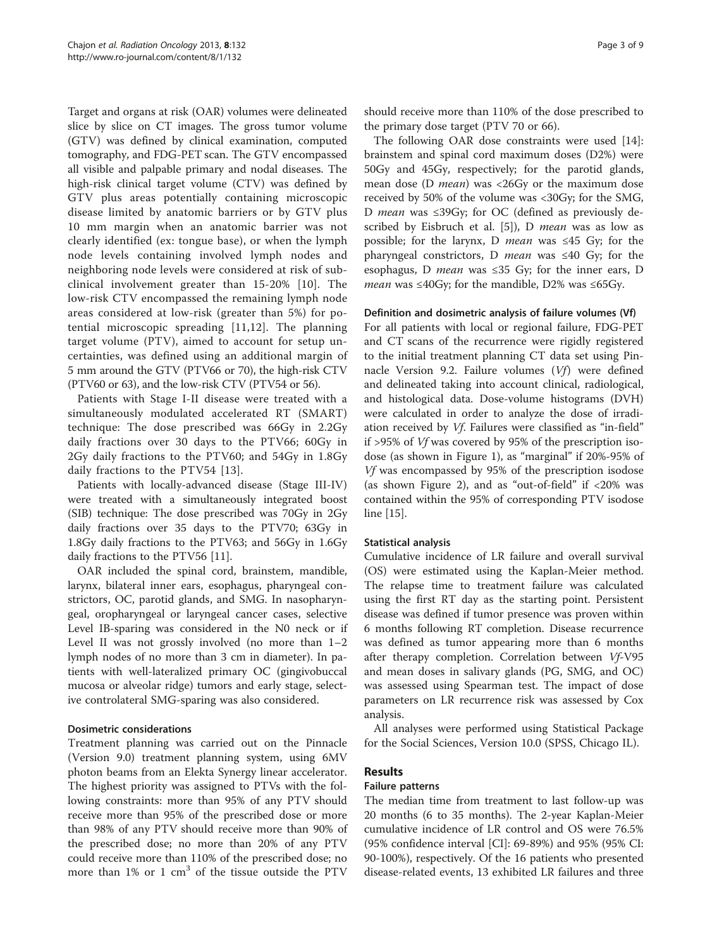Target and organs at risk (OAR) volumes were delineated slice by slice on CT images. The gross tumor volume (GTV) was defined by clinical examination, computed tomography, and FDG-PET scan. The GTV encompassed all visible and palpable primary and nodal diseases. The high-risk clinical target volume (CTV) was defined by GTV plus areas potentially containing microscopic disease limited by anatomic barriers or by GTV plus 10 mm margin when an anatomic barrier was not clearly identified (ex: tongue base), or when the lymph node levels containing involved lymph nodes and neighboring node levels were considered at risk of subclinical involvement greater than 15-20% [\[10](#page-7-0)]. The low-risk CTV encompassed the remaining lymph node areas considered at low-risk (greater than 5%) for potential microscopic spreading [[11,12](#page-7-0)]. The planning target volume (PTV), aimed to account for setup uncertainties, was defined using an additional margin of 5 mm around the GTV (PTV66 or 70), the high-risk CTV (PTV60 or 63), and the low-risk CTV (PTV54 or 56).

Patients with Stage I-II disease were treated with a simultaneously modulated accelerated RT (SMART) technique: The dose prescribed was 66Gy in 2.2Gy daily fractions over 30 days to the PTV66; 60Gy in 2Gy daily fractions to the PTV60; and 54Gy in 1.8Gy daily fractions to the PTV54 [[13](#page-7-0)].

Patients with locally-advanced disease (Stage III-IV) were treated with a simultaneously integrated boost (SIB) technique: The dose prescribed was 70Gy in 2Gy daily fractions over 35 days to the PTV70; 63Gy in 1.8Gy daily fractions to the PTV63; and 56Gy in 1.6Gy daily fractions to the PTV56 [\[11](#page-7-0)].

OAR included the spinal cord, brainstem, mandible, larynx, bilateral inner ears, esophagus, pharyngeal constrictors, OC, parotid glands, and SMG. In nasopharyngeal, oropharyngeal or laryngeal cancer cases, selective Level IB-sparing was considered in the N0 neck or if Level II was not grossly involved (no more than  $1-2$ lymph nodes of no more than 3 cm in diameter). In patients with well-lateralized primary OC (gingivobuccal mucosa or alveolar ridge) tumors and early stage, selective controlateral SMG-sparing was also considered.

#### Dosimetric considerations

Treatment planning was carried out on the Pinnacle (Version 9.0) treatment planning system, using 6MV photon beams from an Elekta Synergy linear accelerator. The highest priority was assigned to PTVs with the following constraints: more than 95% of any PTV should receive more than 95% of the prescribed dose or more than 98% of any PTV should receive more than 90% of the prescribed dose; no more than 20% of any PTV could receive more than 110% of the prescribed dose; no more than  $1\%$  or  $1 \text{ cm}^3$  of the tissue outside the PTV should receive more than 110% of the dose prescribed to the primary dose target (PTV 70 or 66).

The following OAR dose constraints were used [\[14](#page-7-0)]: brainstem and spinal cord maximum doses (D2%) were 50Gy and 45Gy, respectively; for the parotid glands, mean dose (D *mean*) was <26Gy or the maximum dose received by 50% of the volume was <30Gy; for the SMG, D *mean* was ≤39Gy; for OC (defined as previously de-scribed by Eisbruch et al. [[5\]](#page-7-0)), D *mean* was as low as possible; for the larynx, D mean was ≤45 Gy; for the pharyngeal constrictors, D *mean* was  $\leq 40$  Gy; for the esophagus, D *mean* was  $\leq$ 35 Gy; for the inner ears, D *mean* was ≤40Gy; for the mandible, D2% was ≤65Gy.

#### Definition and dosimetric analysis of failure volumes (Vf)

For all patients with local or regional failure, FDG-PET and CT scans of the recurrence were rigidly registered to the initial treatment planning CT data set using Pinnacle Version 9.2. Failure volumes (Vf) were defined and delineated taking into account clinical, radiological, and histological data. Dose-volume histograms (DVH) were calculated in order to analyze the dose of irradiation received by Vf. Failures were classified as "in-field" if >95% of Vf was covered by 95% of the prescription isodose (as shown in Figure [1\)](#page-3-0), as "marginal" if 20%-95% of Vf was encompassed by 95% of the prescription isodose (as shown Figure [2\)](#page-4-0), and as "out-of-field" if <20% was contained within the 95% of corresponding PTV isodose line [\[15](#page-7-0)].

#### Statistical analysis

Cumulative incidence of LR failure and overall survival (OS) were estimated using the Kaplan-Meier method. The relapse time to treatment failure was calculated using the first RT day as the starting point. Persistent disease was defined if tumor presence was proven within 6 months following RT completion. Disease recurrence was defined as tumor appearing more than 6 months after therapy completion. Correlation between Vf-V95 and mean doses in salivary glands (PG, SMG, and OC) was assessed using Spearman test. The impact of dose parameters on LR recurrence risk was assessed by Cox analysis.

All analyses were performed using Statistical Package for the Social Sciences, Version 10.0 (SPSS, Chicago IL).

### Results

#### Failure patterns

The median time from treatment to last follow-up was 20 months (6 to 35 months). The 2-year Kaplan-Meier cumulative incidence of LR control and OS were 76.5% (95% confidence interval [CI]: 69-89%) and 95% (95% CI: 90-100%), respectively. Of the 16 patients who presented disease-related events, 13 exhibited LR failures and three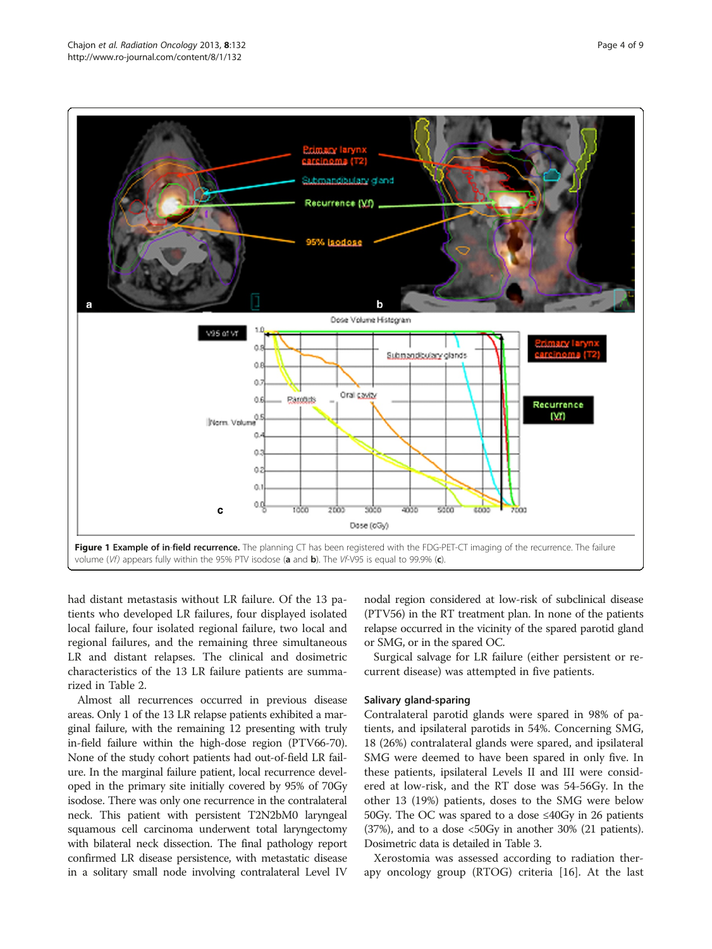<span id="page-3-0"></span>

had distant metastasis without LR failure. Of the 13 patients who developed LR failures, four displayed isolated local failure, four isolated regional failure, two local and regional failures, and the remaining three simultaneous LR and distant relapses. The clinical and dosimetric characteristics of the 13 LR failure patients are summarized in Table [2.](#page-4-0)

Almost all recurrences occurred in previous disease areas. Only 1 of the 13 LR relapse patients exhibited a marginal failure, with the remaining 12 presenting with truly in-field failure within the high-dose region (PTV66-70). None of the study cohort patients had out-of-field LR failure. In the marginal failure patient, local recurrence developed in the primary site initially covered by 95% of 70Gy isodose. There was only one recurrence in the contralateral neck. This patient with persistent T2N2bM0 laryngeal squamous cell carcinoma underwent total laryngectomy with bilateral neck dissection. The final pathology report confirmed LR disease persistence, with metastatic disease in a solitary small node involving contralateral Level IV

nodal region considered at low-risk of subclinical disease (PTV56) in the RT treatment plan. In none of the patients relapse occurred in the vicinity of the spared parotid gland or SMG, or in the spared OC.

Surgical salvage for LR failure (either persistent or recurrent disease) was attempted in five patients.

#### Salivary gland-sparing

Contralateral parotid glands were spared in 98% of patients, and ipsilateral parotids in 54%. Concerning SMG, 18 (26%) contralateral glands were spared, and ipsilateral SMG were deemed to have been spared in only five. In these patients, ipsilateral Levels II and III were considered at low-risk, and the RT dose was 54-56Gy. In the other 13 (19%) patients, doses to the SMG were below 50Gy. The OC was spared to a dose ≤40Gy in 26 patients (37%), and to a dose <50Gy in another 30% (21 patients). Dosimetric data is detailed in Table [3](#page-5-0).

Xerostomia was assessed according to radiation therapy oncology group (RTOG) criteria [[16\]](#page-7-0). At the last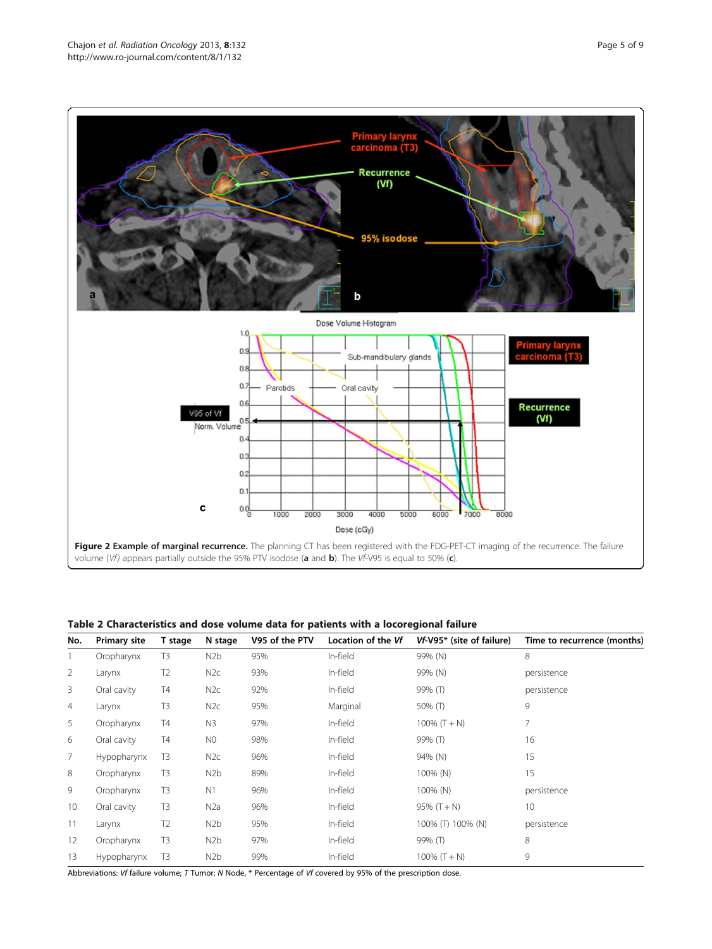<span id="page-4-0"></span>

Table 2 Characteristics and dose volume data for patients with a locoregional failure

volume (Vf) appears partially outside the 95% PTV isodose (a and b). The VF-V95 is equal to 50% (c).

1000

2000

 $\alpha$ 

αġ

C

| No. | <b>Primary site</b> | T stage        | N stage          | V95 of the PTV | Location of the Vf | Vf-V95* (site of failure) | Time to recurrence (months) |  |  |
|-----|---------------------|----------------|------------------|----------------|--------------------|---------------------------|-----------------------------|--|--|
|     | Oropharynx          | T3             | N2b              | 95%            | In-field           | 99% (N)                   | 8                           |  |  |
| 2   | Larynx              | T <sub>2</sub> | N2c              | 93%            | In-field           | 99% (N)                   | persistence                 |  |  |
| 3   | Oral cavity         | Τ4             | N <sub>2c</sub>  | 92%            | In-field           | 99% (T)                   | persistence                 |  |  |
| 4   | Larynx              | T3             | N <sub>2c</sub>  | 95%            | Marginal           | 50% (T)                   | 9                           |  |  |
| 5   | Oropharynx          | Τ4             | N <sub>3</sub>   | 97%            | In-field           | 100% $(T + N)$            | 7                           |  |  |
| 6   | Oral cavity         | Τ4             | N <sub>0</sub>   | 98%            | In-field           | 99% (T)                   | 16                          |  |  |
| 7   | Hypopharynx         | T <sub>3</sub> | N2c              | 96%            | In-field           | 94% (N)                   | 15                          |  |  |
| 8   | Oropharynx          | T3             | N <sub>2</sub> b | 89%            | In-field           | 100% (N)                  | 15                          |  |  |
| 9   | Oropharynx          | T <sub>3</sub> | N <sub>1</sub>   | 96%            | In-field           | 100% (N)                  | persistence                 |  |  |
| 10  | Oral cavity         | T <sub>3</sub> | N <sub>2</sub> a | 96%            | In-field           | $95\%$ (T + N)            | 10                          |  |  |
| 11  | Larynx              | T <sub>2</sub> | N <sub>2</sub> b | 95%            | In-field           | 100% (T) 100% (N)         | persistence                 |  |  |
| 12  | Oropharynx          | T <sub>3</sub> | N <sub>2</sub> b | 97%            | In-field           | 99% (T)                   | 8                           |  |  |
| 13  | Hypopharynx         | T3             | N <sub>2</sub> b | 99%            | In-field           | 100% $(T + N)$            | 9                           |  |  |

Figure 2 Example of marginal recurrence. The planning CT has been registered with the FDG-PET-CT imaging of the recurrence. The failure

Dose (cGy)

3000

4000

5000

6000

7000

 $\frac{1}{8000}$ 

Abbreviations: Vf failure volume; T Tumor; N Node, \* Percentage of Vf covered by 95% of the prescription dose.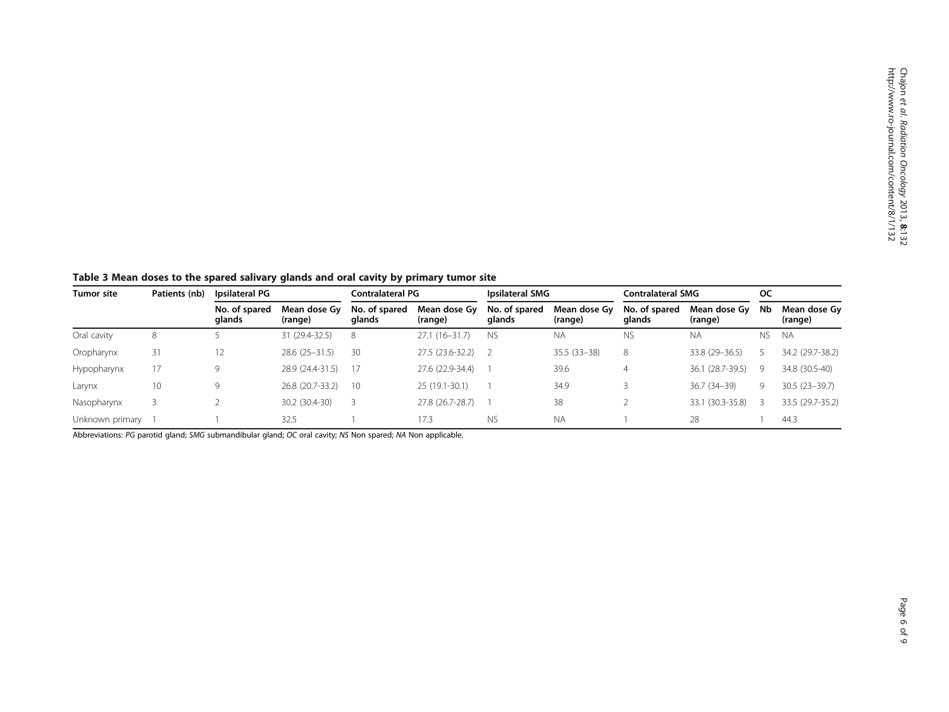<span id="page-5-0"></span>Table 3 Mean doses to the spared salivary glands and oral cavity by primary tumor site

| <b>Tumor site</b> | Patients (nb) | Ipsilateral PG          |                         | Contralateral PG        |                         | Ipsilateral SMG         |                         | <b>Contralateral SMG</b> |                         | oc  |                         |
|-------------------|---------------|-------------------------|-------------------------|-------------------------|-------------------------|-------------------------|-------------------------|--------------------------|-------------------------|-----|-------------------------|
|                   |               | No. of spared<br>glands | Mean dose Gv<br>(range) | No. of spared<br>glands | Mean dose Gv<br>(range) | No. of spared<br>glands | Mean dose Gy<br>(range) | No. of spared<br>glands  | Mean dose Gy<br>(range) | Nb  | Mean dose Gy<br>(range) |
| Oral cavity       | 8             |                         | 31 (29.4-32.5)          | 8                       | $27.1(16-31.7)$         | <b>NS</b>               | <b>NA</b>               | ΝS                       | <b>NA</b>               | NS. | <b>NA</b>               |
| Oropharynx        | 31            | 12                      | $28.6(25-31.5)$         | 30                      | 27.5 (23.6-32.2)        |                         | $35.5(33-38)$           | 8                        | 33.8 (29 - 36.5)        |     | 34.2 (29.7-38.2)        |
| Hypopharynx       | 17            | 9                       | 28.9 (24.4-31.5)        | -17                     | 27.6 (22.9-34.4)        |                         | 39.6                    | 4                        | 36.1 (28.7-39.5)        | 9   | 34.8 (30.5-40)          |
| Larynx            | 10            | 9                       | 26.8 (20.7-33.2)        | 10                      | $25(19.1-30.1)$         |                         | 34.9                    |                          | 36.7 (34-39)            | 9   | $30.5(23 - 39.7)$       |
| Nasopharynx       |               |                         | 30.2 (30.4-30)          |                         | 27.8 (26.7-28.7)        |                         | 38                      |                          | 33.1 (30.3-35.8)        |     | 33.5 (29.7-35.2)        |
| Unknown primary   |               |                         | 32.5                    |                         | 17.3                    | <b>NS</b>               | <b>NA</b>               |                          | 28                      |     | 44.3                    |

Abbreviations: PG parotid gland; SMG submandibular gland; OC oral cavity; NS Non spared; NA Non applicable.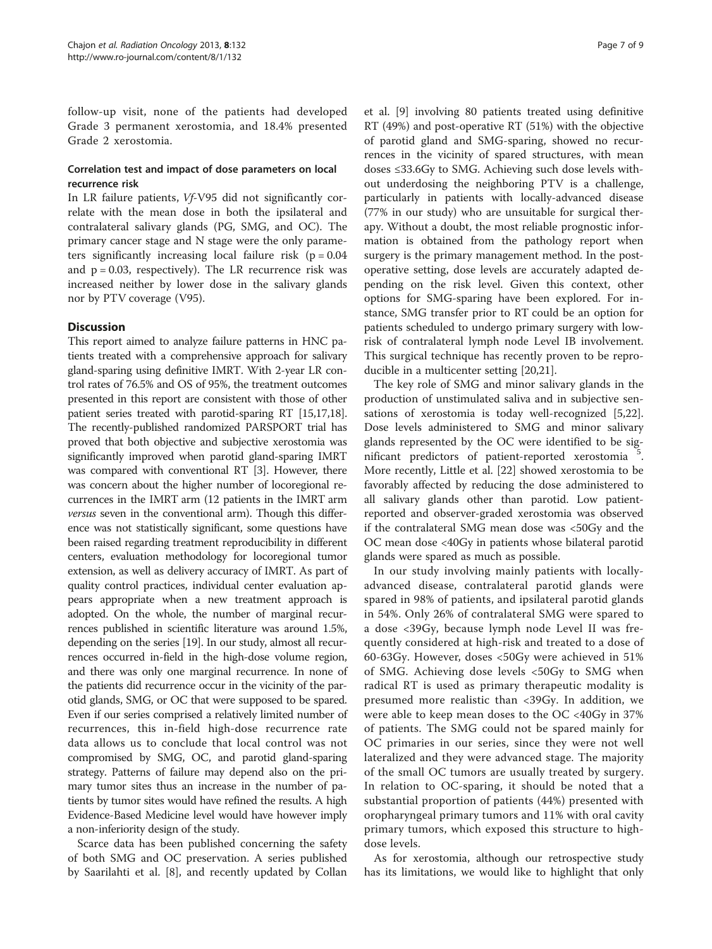follow-up visit, none of the patients had developed Grade 3 permanent xerostomia, and 18.4% presented Grade 2 xerostomia.

#### Correlation test and impact of dose parameters on local recurrence risk

In LR failure patients, Vf-V95 did not significantly correlate with the mean dose in both the ipsilateral and contralateral salivary glands (PG, SMG, and OC). The primary cancer stage and N stage were the only parameters significantly increasing local failure risk  $(p = 0.04$ and  $p = 0.03$ , respectively). The LR recurrence risk was increased neither by lower dose in the salivary glands nor by PTV coverage (V95).

#### **Discussion**

This report aimed to analyze failure patterns in HNC patients treated with a comprehensive approach for salivary gland-sparing using definitive IMRT. With 2-year LR control rates of 76.5% and OS of 95%, the treatment outcomes presented in this report are consistent with those of other patient series treated with parotid-sparing RT [[15,17,18](#page-7-0)]. The recently-published randomized PARSPORT trial has proved that both objective and subjective xerostomia was significantly improved when parotid gland-sparing IMRT was compared with conventional RT [\[3\]](#page-7-0). However, there was concern about the higher number of locoregional recurrences in the IMRT arm (12 patients in the IMRT arm versus seven in the conventional arm). Though this difference was not statistically significant, some questions have been raised regarding treatment reproducibility in different centers, evaluation methodology for locoregional tumor extension, as well as delivery accuracy of IMRT. As part of quality control practices, individual center evaluation appears appropriate when a new treatment approach is adopted. On the whole, the number of marginal recurrences published in scientific literature was around 1.5%, depending on the series [[19](#page-7-0)]. In our study, almost all recurrences occurred in-field in the high-dose volume region, and there was only one marginal recurrence. In none of the patients did recurrence occur in the vicinity of the parotid glands, SMG, or OC that were supposed to be spared. Even if our series comprised a relatively limited number of recurrences, this in-field high-dose recurrence rate data allows us to conclude that local control was not compromised by SMG, OC, and parotid gland-sparing strategy. Patterns of failure may depend also on the primary tumor sites thus an increase in the number of patients by tumor sites would have refined the results. A high Evidence-Based Medicine level would have however imply a non-inferiority design of the study.

Scarce data has been published concerning the safety of both SMG and OC preservation. A series published by Saarilahti et al. [[8\]](#page-7-0), and recently updated by Collan

et al. [\[9](#page-7-0)] involving 80 patients treated using definitive RT (49%) and post-operative RT (51%) with the objective of parotid gland and SMG-sparing, showed no recurrences in the vicinity of spared structures, with mean doses ≤33.6Gy to SMG. Achieving such dose levels without underdosing the neighboring PTV is a challenge, particularly in patients with locally-advanced disease (77% in our study) who are unsuitable for surgical therapy. Without a doubt, the most reliable prognostic information is obtained from the pathology report when surgery is the primary management method. In the postoperative setting, dose levels are accurately adapted depending on the risk level. Given this context, other options for SMG-sparing have been explored. For instance, SMG transfer prior to RT could be an option for patients scheduled to undergo primary surgery with lowrisk of contralateral lymph node Level IB involvement. This surgical technique has recently proven to be reproducible in a multicenter setting [[20,21\]](#page-7-0).

The key role of SMG and minor salivary glands in the production of unstimulated saliva and in subjective sensations of xerostomia is today well-recognized [\[5](#page-7-0)[,22](#page-8-0)]. Dose levels administered to SMG and minor salivary glands represented by the OC were identified to be significant predictors of patient-reported xerostomia <sup>5</sup> . More recently, Little et al. [[22\]](#page-8-0) showed xerostomia to be favorably affected by reducing the dose administered to all salivary glands other than parotid. Low patientreported and observer-graded xerostomia was observed if the contralateral SMG mean dose was <50Gy and the OC mean dose <40Gy in patients whose bilateral parotid glands were spared as much as possible.

In our study involving mainly patients with locallyadvanced disease, contralateral parotid glands were spared in 98% of patients, and ipsilateral parotid glands in 54%. Only 26% of contralateral SMG were spared to a dose <39Gy, because lymph node Level II was frequently considered at high-risk and treated to a dose of 60-63Gy. However, doses <50Gy were achieved in 51% of SMG. Achieving dose levels <50Gy to SMG when radical RT is used as primary therapeutic modality is presumed more realistic than <39Gy. In addition, we were able to keep mean doses to the OC <40Gy in 37% of patients. The SMG could not be spared mainly for OC primaries in our series, since they were not well lateralized and they were advanced stage. The majority of the small OC tumors are usually treated by surgery. In relation to OC-sparing, it should be noted that a substantial proportion of patients (44%) presented with oropharyngeal primary tumors and 11% with oral cavity primary tumors, which exposed this structure to highdose levels.

As for xerostomia, although our retrospective study has its limitations, we would like to highlight that only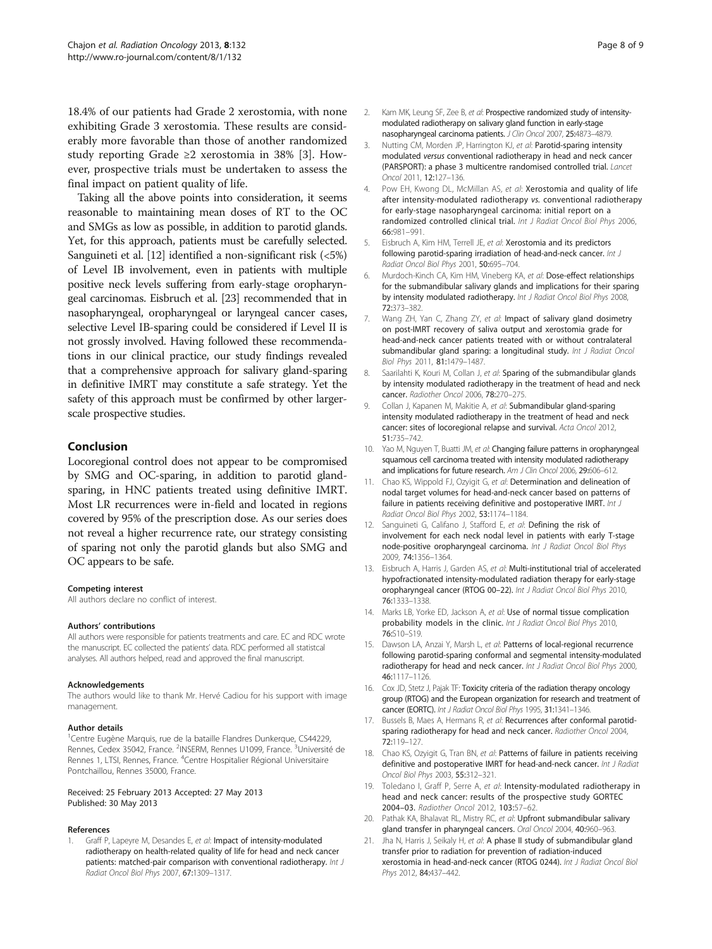<span id="page-7-0"></span>18.4% of our patients had Grade 2 xerostomia, with none exhibiting Grade 3 xerostomia. These results are considerably more favorable than those of another randomized study reporting Grade ≥2 xerostomia in 38% [3]. However, prospective trials must be undertaken to assess the final impact on patient quality of life.

Taking all the above points into consideration, it seems reasonable to maintaining mean doses of RT to the OC and SMGs as low as possible, in addition to parotid glands. Yet, for this approach, patients must be carefully selected. Sanguineti et al. [12] identified a non-significant risk (<5%) of Level IB involvement, even in patients with multiple positive neck levels suffering from early-stage oropharyngeal carcinomas. Eisbruch et al. [\[23\]](#page-8-0) recommended that in nasopharyngeal, oropharyngeal or laryngeal cancer cases, selective Level IB-sparing could be considered if Level II is not grossly involved. Having followed these recommendations in our clinical practice, our study findings revealed that a comprehensive approach for salivary gland-sparing in definitive IMRT may constitute a safe strategy. Yet the safety of this approach must be confirmed by other largerscale prospective studies.

#### Conclusion

Locoregional control does not appear to be compromised by SMG and OC-sparing, in addition to parotid glandsparing, in HNC patients treated using definitive IMRT. Most LR recurrences were in-field and located in regions covered by 95% of the prescription dose. As our series does not reveal a higher recurrence rate, our strategy consisting of sparing not only the parotid glands but also SMG and OC appears to be safe.

#### Competing interest

All authors declare no conflict of interest.

#### Authors' contributions

All authors were responsible for patients treatments and care. EC and RDC wrote the manuscript. EC collected the patients' data. RDC performed all statistcal analyses. All authors helped, read and approved the final manuscript.

#### Acknowledgements

The authors would like to thank Mr. Hervé Cadiou for his support with image management.

#### Author details

<sup>1</sup>Centre Eugène Marquis, rue de la bataille Flandres Dunkerque, CS44229, Rennes, Cedex 35042, France. <sup>2</sup>INSERM, Rennes U1099, France. <sup>3</sup>Université de Rennes 1, LTSI, Rennes, France. <sup>4</sup>Centre Hospitalier Régional Universitaire Pontchaillou, Rennes 35000, France.

#### Received: 25 February 2013 Accepted: 27 May 2013 Published: 30 May 2013

#### References

Graff P, Lapeyre M, Desandes E, et al: Impact of intensity-modulated radiotherapy on health-related quality of life for head and neck cancer patients: matched-pair comparison with conventional radiotherapy. Int J Radiat Oncol Biol Phys 2007, 67:1309–1317.

- 2. Kam MK, Leung SF, Zee B, et al: Prospective randomized study of intensitymodulated radiotherapy on salivary gland function in early-stage nasopharyngeal carcinoma patients. J Clin Oncol 2007, 25:4873–4879.
- 3. Nutting CM, Morden JP, Harrington KJ, et al: Parotid-sparing intensity modulated versus conventional radiotherapy in head and neck cancer (PARSPORT): a phase 3 multicentre randomised controlled trial. Lancet Oncol 2011, 12:127–136.
- 4. Pow EH, Kwong DL, McMillan AS, et al: Xerostomia and quality of life after intensity-modulated radiotherapy vs. conventional radiotherapy for early-stage nasopharyngeal carcinoma: initial report on a randomized controlled clinical trial. Int J Radiat Oncol Biol Phys 2006, 66:981–991.
- 5. Eisbruch A, Kim HM, Terrell JE, et al: Xerostomia and its predictors following parotid-sparing irradiation of head-and-neck cancer. Int J Radiat Oncol Biol Phys 2001, 50:695–704.
- 6. Murdoch-Kinch CA, Kim HM, Vineberg KA, et al: Dose-effect relationships for the submandibular salivary glands and implications for their sparing by intensity modulated radiotherapy. Int J Radiat Oncol Biol Phys 2008, 72:373–382.
- 7. Wang ZH, Yan C, Zhang ZY, et al: Impact of salivary gland dosimetry on post-IMRT recovery of saliva output and xerostomia grade for head-and-neck cancer patients treated with or without contralateral submandibular gland sparing: a longitudinal study. Int J Radiat Oncol Biol Phys 2011, 81:1479–1487.
- Saarilahti K, Kouri M, Collan J, et al: Sparing of the submandibular glands by intensity modulated radiotherapy in the treatment of head and neck cancer. Radiother Oncol 2006, 78:270–275.
- 9. Collan J, Kapanen M, Makitie A, et al: Submandibular gland-sparing intensity modulated radiotherapy in the treatment of head and neck cancer: sites of locoregional relapse and survival. Acta Oncol 2012, 51:735–742.
- 10. Yao M, Nguyen T, Buatti JM, et al: Changing failure patterns in oropharyngeal squamous cell carcinoma treated with intensity modulated radiotherapy and implications for future research. Am J Clin Oncol 2006, 29:606-612.
- 11. Chao KS, Wippold FJ, Ozyigit G, et al: Determination and delineation of nodal target volumes for head-and-neck cancer based on patterns of failure in patients receiving definitive and postoperative IMRT. Int J Radiat Oncol Biol Phys 2002, 53:1174–1184.
- 12. Sanguineti G, Califano J, Stafford E, et al: Defining the risk of involvement for each neck nodal level in patients with early T-stage node-positive oropharyngeal carcinoma. Int J Radiat Oncol Biol Phys 2009, 74:1356–1364.
- 13. Eisbruch A, Harris J, Garden AS, et al: Multi-institutional trial of accelerated hypofractionated intensity-modulated radiation therapy for early-stage oropharyngeal cancer (RTOG 00-22). Int J Radiat Oncol Biol Phys 2010, 76:1333–1338.
- 14. Marks LB, Yorke ED, Jackson A, et al: Use of normal tissue complication probability models in the clinic. Int J Radiat Oncol Biol Phys 2010, 76:S10–S19.
- 15. Dawson LA, Anzai Y, Marsh L, et al: Patterns of local-regional recurrence following parotid-sparing conformal and segmental intensity-modulated radiotherapy for head and neck cancer. Int J Radiat Oncol Biol Phys 2000, 46:1117–1126.
- 16. Cox JD, Stetz J, Pajak TF: Toxicity criteria of the radiation therapy oncology group (RTOG) and the European organization for research and treatment of cancer (EORTC). Int J Radiat Oncol Biol Phys 1995, 31:1341–1346.
- 17. Bussels B, Maes A, Hermans R, et al: Recurrences after conformal parotidsparing radiotherapy for head and neck cancer. Radiother Oncol 2004, 72:119–127.
- 18. Chao KS, Ozyigit G, Tran BN, et al: Patterns of failure in patients receiving definitive and postoperative IMRT for head-and-neck cancer. Int J Radiat Oncol Biol Phys 2003, 55:312–321.
- 19. Toledano I, Graff P, Serre A, et al: Intensity-modulated radiotherapy in head and neck cancer: results of the prospective study GORTEC 2004–03. Radiother Oncol 2012, 103:57–62.
- 20. Pathak KA, Bhalavat RL, Mistry RC, et al: Upfront submandibular salivary gland transfer in pharyngeal cancers. Oral Oncol 2004, 40:960–963.
- 21. Jha N, Harris J, Seikaly H, et al: A phase II study of submandibular gland transfer prior to radiation for prevention of radiation-induced xerostomia in head-and-neck cancer (RTOG 0244). Int J Radiat Oncol Biol Phys 2012, 84:437–442.